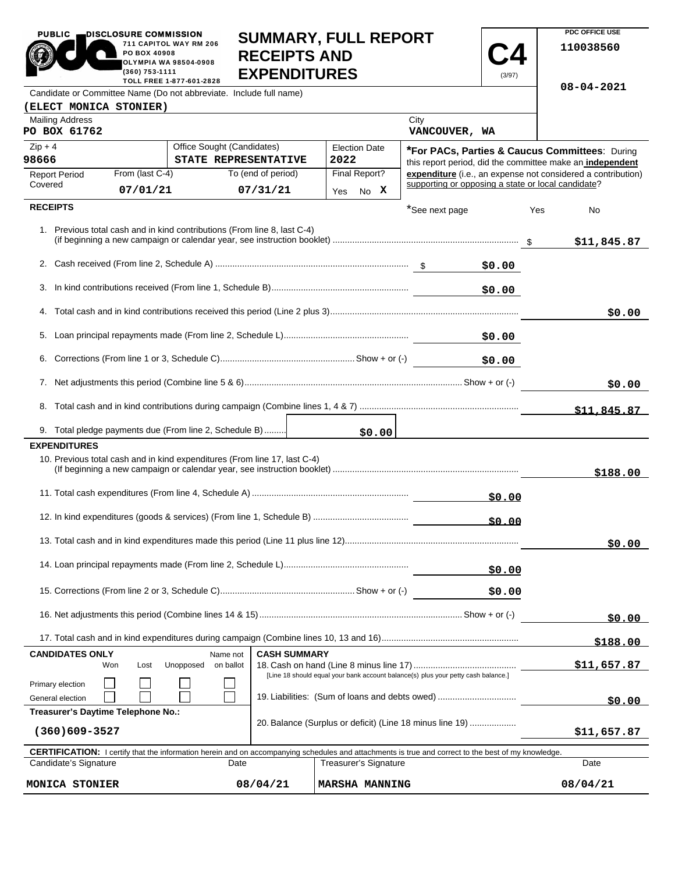| <b>PUBLIC</b><br>DISCLOSURE COMMISSION<br>711 CAPITOL WAY RM 206<br>PO BOX 40908 |                 |                            |                     |                     | <b>SUMMARY, FULL REPORT</b>                                                                                                                         |                                                    |               |             | PDC OFFICE USE                                               |
|----------------------------------------------------------------------------------|-----------------|----------------------------|---------------------|---------------------|-----------------------------------------------------------------------------------------------------------------------------------------------------|----------------------------------------------------|---------------|-------------|--------------------------------------------------------------|
|                                                                                  |                 |                            |                     |                     |                                                                                                                                                     |                                                    |               |             | 110038560                                                    |
| <b>OLYMPIA WA 98504-0908</b>                                                     |                 |                            |                     | <b>RECEIPTS AND</b> |                                                                                                                                                     |                                                    |               |             |                                                              |
| (360) 753-1111<br>TOLL FREE 1-877-601-2828                                       |                 |                            |                     | <b>EXPENDITURES</b> |                                                                                                                                                     |                                                    |               |             |                                                              |
| Candidate or Committee Name (Do not abbreviate. Include full name)               |                 |                            |                     |                     |                                                                                                                                                     |                                                    |               |             | $08 - 04 - 2021$                                             |
| (ELECT MONICA STONIER)                                                           |                 |                            |                     |                     |                                                                                                                                                     |                                                    |               |             |                                                              |
| <b>Mailing Address</b>                                                           |                 |                            |                     |                     |                                                                                                                                                     | City                                               |               |             |                                                              |
| PO BOX 61762                                                                     |                 |                            |                     |                     |                                                                                                                                                     | VANCOUVER, WA                                      |               |             |                                                              |
| $Zip + 4$                                                                        |                 | Office Sought (Candidates) |                     |                     | <b>Election Date</b>                                                                                                                                |                                                    |               |             | *For PACs, Parties & Caucus Committees: During               |
| 98666                                                                            |                 | STATE REPRESENTATIVE       |                     |                     | 2022                                                                                                                                                |                                                    |               |             | this report period, did the committee make an independent    |
| <b>Report Period</b>                                                             | From (last C-4) |                            | To (end of period)  |                     | Final Report?                                                                                                                                       |                                                    |               |             | expenditure (i.e., an expense not considered a contribution) |
| Covered                                                                          | 07/01/21        |                            | 07/31/21            |                     | Yes No X                                                                                                                                            | supporting or opposing a state or local candidate? |               |             |                                                              |
| <b>RECEIPTS</b>                                                                  |                 |                            |                     |                     |                                                                                                                                                     | *See next page                                     |               | Yes         | No                                                           |
|                                                                                  |                 |                            |                     |                     |                                                                                                                                                     |                                                    |               |             |                                                              |
| 1. Previous total cash and in kind contributions (From line 8, last C-4)         |                 |                            |                     |                     |                                                                                                                                                     |                                                    |               |             |                                                              |
|                                                                                  |                 |                            |                     |                     |                                                                                                                                                     |                                                    |               |             | \$11,845.87                                                  |
|                                                                                  |                 |                            |                     |                     |                                                                                                                                                     |                                                    | \$0.00        |             |                                                              |
|                                                                                  |                 |                            |                     |                     |                                                                                                                                                     |                                                    |               |             |                                                              |
| 3.                                                                               |                 |                            |                     |                     |                                                                                                                                                     |                                                    | \$0.00        |             |                                                              |
|                                                                                  |                 |                            |                     |                     |                                                                                                                                                     |                                                    |               |             |                                                              |
|                                                                                  |                 |                            |                     |                     |                                                                                                                                                     |                                                    |               |             | \$0.00                                                       |
|                                                                                  |                 |                            |                     |                     |                                                                                                                                                     |                                                    | \$0.00        |             |                                                              |
|                                                                                  |                 |                            |                     |                     |                                                                                                                                                     |                                                    |               |             |                                                              |
|                                                                                  |                 |                            |                     |                     |                                                                                                                                                     |                                                    | \$0.00        |             |                                                              |
|                                                                                  |                 |                            |                     |                     |                                                                                                                                                     |                                                    |               |             |                                                              |
|                                                                                  |                 |                            |                     |                     |                                                                                                                                                     |                                                    |               |             | \$0.00                                                       |
|                                                                                  |                 |                            |                     |                     |                                                                                                                                                     |                                                    |               |             | \$11.845.87                                                  |
|                                                                                  |                 |                            |                     |                     |                                                                                                                                                     |                                                    |               |             |                                                              |
| 9. Total pledge payments due (From line 2, Schedule B)                           |                 |                            |                     |                     | \$0.00                                                                                                                                              |                                                    |               |             |                                                              |
| <b>EXPENDITURES</b>                                                              |                 |                            |                     |                     |                                                                                                                                                     |                                                    |               |             |                                                              |
| 10. Previous total cash and in kind expenditures (From line 17, last C-4)        |                 |                            |                     |                     |                                                                                                                                                     |                                                    |               |             |                                                              |
|                                                                                  |                 |                            |                     |                     |                                                                                                                                                     |                                                    |               |             | \$188.00                                                     |
|                                                                                  |                 |                            |                     |                     |                                                                                                                                                     |                                                    | \$0.00        |             |                                                              |
|                                                                                  |                 |                            |                     |                     |                                                                                                                                                     |                                                    |               |             |                                                              |
|                                                                                  |                 |                            |                     |                     |                                                                                                                                                     |                                                    | \$0.00        |             |                                                              |
|                                                                                  |                 |                            |                     |                     |                                                                                                                                                     |                                                    |               |             |                                                              |
|                                                                                  |                 |                            |                     |                     |                                                                                                                                                     |                                                    |               |             | \$0.00                                                       |
| \$0.00                                                                           |                 |                            |                     |                     |                                                                                                                                                     |                                                    |               |             |                                                              |
|                                                                                  |                 |                            |                     |                     |                                                                                                                                                     |                                                    |               |             |                                                              |
|                                                                                  |                 |                            |                     |                     |                                                                                                                                                     |                                                    | \$0.00        |             |                                                              |
|                                                                                  |                 |                            |                     |                     |                                                                                                                                                     |                                                    |               |             |                                                              |
|                                                                                  |                 |                            |                     |                     |                                                                                                                                                     |                                                    |               |             | \$0.00                                                       |
|                                                                                  |                 |                            |                     |                     |                                                                                                                                                     |                                                    |               |             | \$188.00                                                     |
| <b>CANDIDATES ONLY</b>                                                           |                 | Name not                   | <b>CASH SUMMARY</b> |                     |                                                                                                                                                     |                                                    |               |             |                                                              |
| Won                                                                              | Lost            | Unopposed<br>on ballot     |                     |                     |                                                                                                                                                     |                                                    |               |             | \$11,657.87                                                  |
| Primary election                                                                 |                 |                            |                     |                     | [Line 18 should equal your bank account balance(s) plus your petty cash balance.]                                                                   |                                                    |               |             |                                                              |
| 19. Liabilities: (Sum of loans and debts owed)<br>General election               |                 |                            |                     |                     |                                                                                                                                                     |                                                    | <u>50.00 </u> |             |                                                              |
| Treasurer's Daytime Telephone No.:                                               |                 |                            |                     |                     |                                                                                                                                                     |                                                    |               |             |                                                              |
| 20. Balance (Surplus or deficit) (Line 18 minus line 19)<br>$(360)609 - 3527$    |                 |                            |                     |                     |                                                                                                                                                     |                                                    |               | \$11,657.87 |                                                              |
|                                                                                  |                 |                            |                     |                     |                                                                                                                                                     |                                                    |               |             |                                                              |
|                                                                                  |                 |                            |                     |                     | CERTIFICATION: I certify that the information herein and on accompanying schedules and attachments is true and correct to the best of my knowledge. |                                                    |               |             |                                                              |
| Candidate's Signature                                                            |                 |                            | Date                |                     | Treasurer's Signature                                                                                                                               |                                                    |               |             | Date                                                         |

| <b>CERTIFICATION:</b> I certify that the information herein and on accompanying schedules and attachments is true and correct to the best of my knowledge. |          |                        |          |  |  |  |  |
|------------------------------------------------------------------------------------------------------------------------------------------------------------|----------|------------------------|----------|--|--|--|--|
| Candidate's Signature                                                                                                                                      | Date     | Treasurer's Signature  | Date     |  |  |  |  |
|                                                                                                                                                            |          |                        |          |  |  |  |  |
| MONICA STONIER                                                                                                                                             | 08/04/21 | <b>IMARSHA MANNING</b> | 08/04/21 |  |  |  |  |